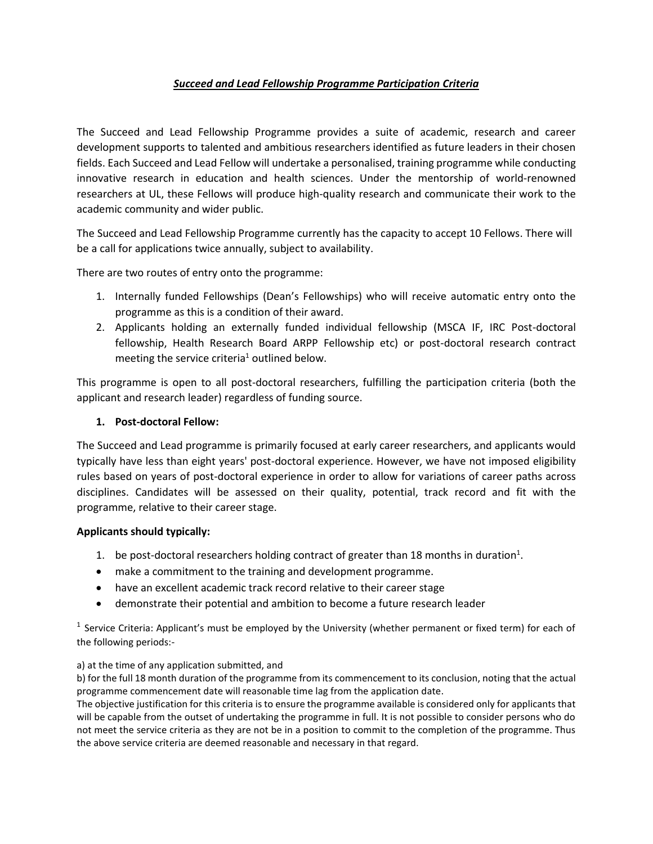## *Succeed and Lead Fellowship Programme Participation Criteria*

The Succeed and Lead Fellowship Programme provides a suite of academic, research and career development supports to talented and ambitious researchers identified as future leaders in their chosen fields. Each Succeed and Lead Fellow will undertake a personalised, training programme while conducting innovative research in education and health sciences. Under the mentorship of world-renowned researchers at UL, these Fellows will produce high-quality research and communicate their work to the academic community and wider public.

The Succeed and Lead Fellowship Programme currently has the capacity to accept 10 Fellows. There will be a call for applications twice annually, subject to availability.

There are two routes of entry onto the programme:

- 1. Internally funded Fellowships (Dean's Fellowships) who will receive automatic entry onto the programme as this is a condition of their award.
- 2. Applicants holding an externally funded individual fellowship (MSCA IF, IRC Post-doctoral fellowship, Health Research Board ARPP Fellowship etc) or post-doctoral research contract meeting the service criteria<sup>1</sup> outlined below.

This programme is open to all post-doctoral researchers, fulfilling the participation criteria (both the applicant and research leader) regardless of funding source.

### **1. Post-doctoral Fellow:**

The Succeed and Lead programme is primarily focused at early career researchers, and applicants would typically have less than eight years' post-doctoral experience. However, we have not imposed eligibility rules based on years of post-doctoral experience in order to allow for variations of career paths across disciplines. Candidates will be assessed on their quality, potential, track record and fit with the programme, relative to their career stage.

#### **Applicants should typically:**

- 1. be post-doctoral researchers holding contract of greater than 18 months in duration<sup>1</sup>.
- make a commitment to the training and development programme.
- have an excellent academic track record relative to their career stage
- demonstrate their potential and ambition to become a future research leader

<sup>1</sup> Service Criteria: Applicant's must be employed by the University (whether permanent or fixed term) for each of the following periods:-

#### a) at the time of any application submitted, and

b) for the full 18 month duration of the programme from its commencement to its conclusion, noting that the actual programme commencement date will reasonable time lag from the application date.

The objective justification for this criteria is to ensure the programme available is considered only for applicants that will be capable from the outset of undertaking the programme in full. It is not possible to consider persons who do not meet the service criteria as they are not be in a position to commit to the completion of the programme. Thus the above service criteria are deemed reasonable and necessary in that regard.